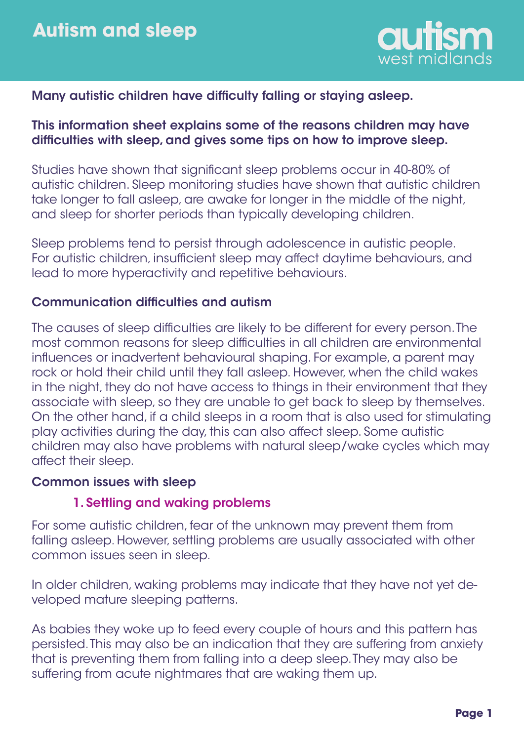

# Many autistic children have difficulty falling or staying asleep.

## This information sheet explains some of the reasons children may have difficulties with sleep, and gives some tips on how to improve sleep.

Studies have shown that significant sleep problems occur in 40-80% of autistic children. Sleep monitoring studies have shown that autistic children take longer to fall asleep, are awake for longer in the middle of the night, and sleep for shorter periods than typically developing children.

Sleep problems tend to persist through adolescence in autistic people. For autistic children, insufficient sleep may affect daytime behaviours, and lead to more hyperactivity and repetitive behaviours.

#### Communication difficulties and autism

The causes of sleep difficulties are likely to be different for every person. The most common reasons for sleep difficulties in all children are environmental influences or inadvertent behavioural shaping. For example, a parent may rock or hold their child until they fall asleep. However, when the child wakes in the night, they do not have access to things in their environment that they associate with sleep, so they are unable to get back to sleep by themselves. On the other hand, if a child sleeps in a room that is also used for stimulating play activities during the day, this can also affect sleep. Some autistic children may also have problems with natural sleep/wake cycles which may affect their sleep.

#### Common issues with sleep

#### 1. Settling and waking problems

For some autistic children, fear of the unknown may prevent them from falling asleep. However, settling problems are usually associated with other common issues seen in sleep.

In older children, waking problems may indicate that they have not yet developed mature sleeping patterns.

As babies they woke up to feed every couple of hours and this pattern has persisted. This may also be an indication that they are suffering from anxiety that is preventing them from falling into a deep sleep. They may also be suffering from acute nightmares that are waking them up.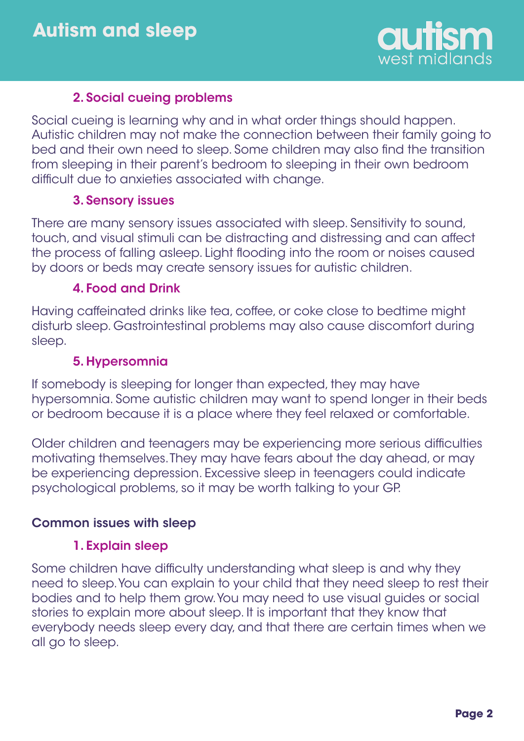

# 2. Social cueing problems

Social cueing is learning why and in what order things should happen. Autistic children may not make the connection between their family going to bed and their own need to sleep. Some children may also find the transition from sleeping in their parent's bedroom to sleeping in their own bedroom difficult due to anxieties associated with change.

## 3. Sensory issues

There are many sensory issues associated with sleep. Sensitivity to sound, touch, and visual stimuli can be distracting and distressing and can affect the process of falling asleep. Light flooding into the room or noises caused by doors or beds may create sensory issues for autistic children.

#### 4. Food and Drink

Having caffeinated drinks like tea, coffee, or coke close to bedtime might disturb sleep. Gastrointestinal problems may also cause discomfort during sleep.

## 5. Hypersomnia

If somebody is sleeping for longer than expected, they may have hypersomnia. Some autistic children may want to spend longer in their beds or bedroom because it is a place where they feel relaxed or comfortable.

Older children and teenagers may be experiencing more serious difficulties motivating themselves. They may have fears about the day ahead, or may be experiencing depression. Excessive sleep in teenagers could indicate psychological problems, so it may be worth talking to your GP.

## Common issues with sleep

#### 1. Explain sleep

Some children have difficulty understanding what sleep is and why they need to sleep. You can explain to your child that they need sleep to rest their bodies and to help them grow. You may need to use visual guides or social stories to explain more about sleep. It is important that they know that everybody needs sleep every day, and that there are certain times when we all go to sleep.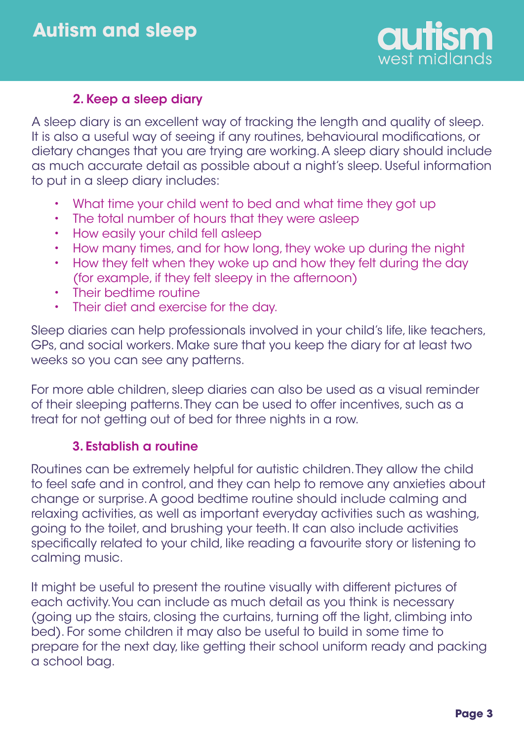

## 2. Keep a sleep diary

A sleep diary is an excellent way of tracking the length and quality of sleep. It is also a useful way of seeing if any routines, behavioural modifications, or dietary changes that you are trying are working. A sleep diary should include as much accurate detail as possible about a night's sleep. Useful information to put in a sleep diary includes:

- What time your child went to bed and what time they got up •
- The total number of hours that they were asleep •
- How easily your child fell asleep •
- How many times, and for how long, they woke up during the night •
- How they felt when they woke up and how they felt during the day (for example, if they felt sleepy in the afternoon) •
- Their bedtime routine •
- Their diet and exercise for the day. •

Sleep diaries can help professionals involved in your child's life, like teachers, GPs, and social workers. Make sure that you keep the diary for at least two weeks so you can see any patterns.

For more able children, sleep diaries can also be used as a visual reminder of their sleeping patterns. They can be used to offer incentives, such as a treat for not getting out of bed for three nights in a row.

## 3. Establish a routine

Routines can be extremely helpful for autistic children. They allow the child to feel safe and in control, and they can help to remove any anxieties about change or surprise. A good bedtime routine should include calming and relaxing activities, as well as important everyday activities such as washing, going to the toilet, and brushing your teeth. It can also include activities specifically related to your child, like reading a favourite story or listening to calming music.

It might be useful to present the routine visually with different pictures of each activity. You can include as much detail as you think is necessary (going up the stairs, closing the curtains, turning off the light, climbing into bed). For some children it may also be useful to build in some time to prepare for the next day, like getting their school uniform ready and packing a school bag.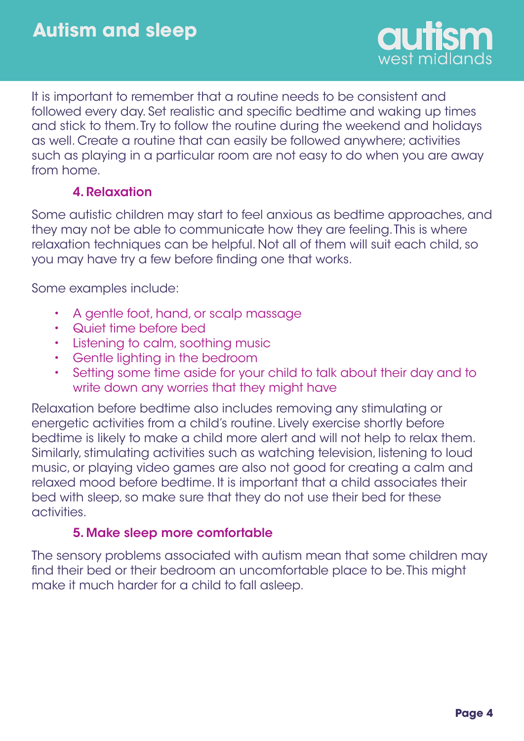

It is important to remember that a routine needs to be consistent and followed every day. Set realistic and specific bedtime and waking up times and stick to them. Try to follow the routine during the weekend and holidays as well. Create a routine that can easily be followed anywhere; activities such as playing in a particular room are not easy to do when you are away from home.

## 4. Relaxation

Some autistic children may start to feel anxious as bedtime approaches, and they may not be able to communicate how they are feeling. This is where relaxation techniques can be helpful. Not all of them will suit each child, so you may have try a few before finding one that works.

Some examples include:

- A gentle foot, hand, or scalp massage •
- Quiet time before bed •
- Listening to calm, soothing music •
- Gentle lighting in the bedroom •
- Setting some time aside for your child to talk about their day and to write down any worries that they might have •

Relaxation before bedtime also includes removing any stimulating or energetic activities from a child's routine. Lively exercise shortly before bedtime is likely to make a child more alert and will not help to relax them. Similarly, stimulating activities such as watching television, listening to loud music, or playing video games are also not good for creating a calm and relaxed mood before bedtime. It is important that a child associates their bed with sleep, so make sure that they do not use their bed for these activities.

# 5. Make sleep more comfortable

The sensory problems associated with autism mean that some children may find their bed or their bedroom an uncomfortable place to be. This might make it much harder for a child to fall asleep.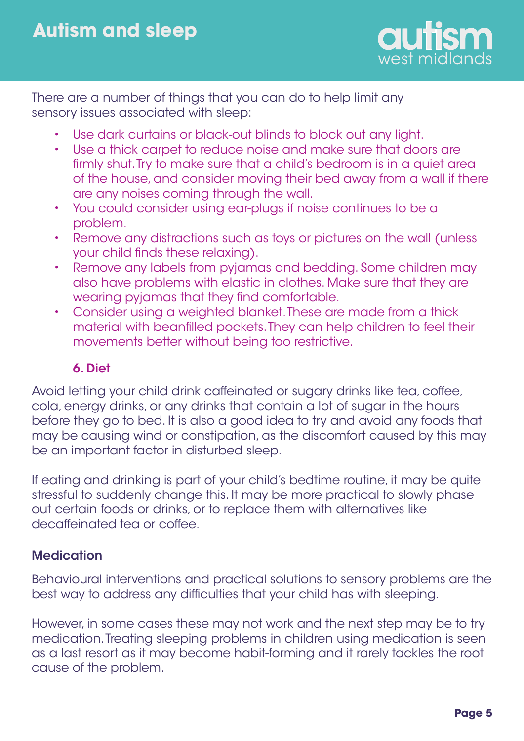

There are a number of things that you can do to help limit any sensory issues associated with sleep:

- Use dark curtains or black-out blinds to block out any light. •
- Use a thick carpet to reduce noise and make sure that doors are firmly shut. Try to make sure that a child's bedroom is in a quiet area of the house, and consider moving their bed away from a wall if there are any noises coming through the wall. •
- You could consider using ear-plugs if noise continues to be a problem. •
- Remove any distractions such as toys or pictures on the wall (unless your child finds these relaxing). •
- Remove any labels from pyjamas and bedding. Some children may also have problems with elastic in clothes. Make sure that they are wearing pyjamas that they find comfortable. •
- Consider using a weighted blanket. These are made from a thick material with beanfilled pockets. They can help children to feel their movements better without being too restrictive. •

# 6. Diet

Avoid letting your child drink caffeinated or sugary drinks like teg, coffee, cola, energy drinks, or any drinks that contain a lot of sugar in the hours before they go to bed. It is also a good idea to try and avoid any foods that may be causing wind or constipation, as the discomfort caused by this may be an important factor in disturbed sleep.

If eating and drinking is part of your child's bedtime routine, it may be quite stressful to suddenly change this. It may be more practical to slowly phase out certain foods or drinks, or to replace them with alternatives like decaffeinated tea or coffee.

# **Medication**

Behavioural interventions and practical solutions to sensory problems are the best way to address any difficulties that your child has with sleeping.

However, in some cases these may not work and the next step may be to try medication. Treating sleeping problems in children using medication is seen as a last resort as it may become habit-forming and it rarely tackles the root cause of the problem.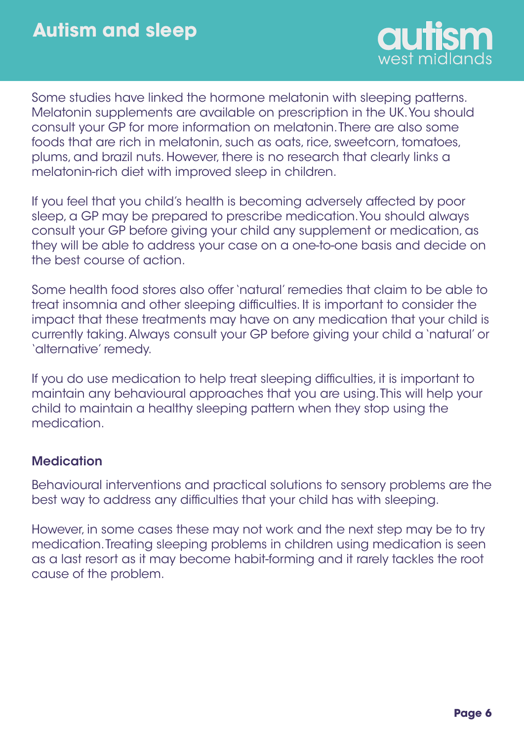

Some studies have linked the hormone melatonin with sleeping patterns. Melatonin supplements are available on prescription in the UK. You should consult your GP for more information on melatonin. There are also some foods that are rich in melatonin, such as oats, rice, sweetcorn, tomatoes, plums, and brazil nuts. However, there is no research that clearly links a melatonin-rich diet with improved sleep in children.

If you feel that you child's health is becoming adversely affected by poor sleep, a GP may be prepared to prescribe medication. You should always consult your GP before giving your child any supplement or medication, as they will be able to address your case on a one-to-one basis and decide on the best course of action.

Some health food stores also offer 'natural' remedies that claim to be able to treat insomnia and other sleeping difficulties. It is important to consider the impact that these treatments may have on any medication that your child is currently taking. Always consult your GP before giving your child a 'natural' or 'alternative' remedy.

If you do use medication to help treat sleeping difficulties, it is important to maintain any behavioural approaches that you are using. This will help your child to maintain a healthy sleeping pattern when they stop using the medication.

# **Medication**

Behavioural interventions and practical solutions to sensory problems are the best way to address any difficulties that your child has with sleeping.

However, in some cases these may not work and the next step may be to try medication. Treating sleeping problems in children using medication is seen as a last resort as it may become habit-forming and it rarely tackles the root cause of the problem.